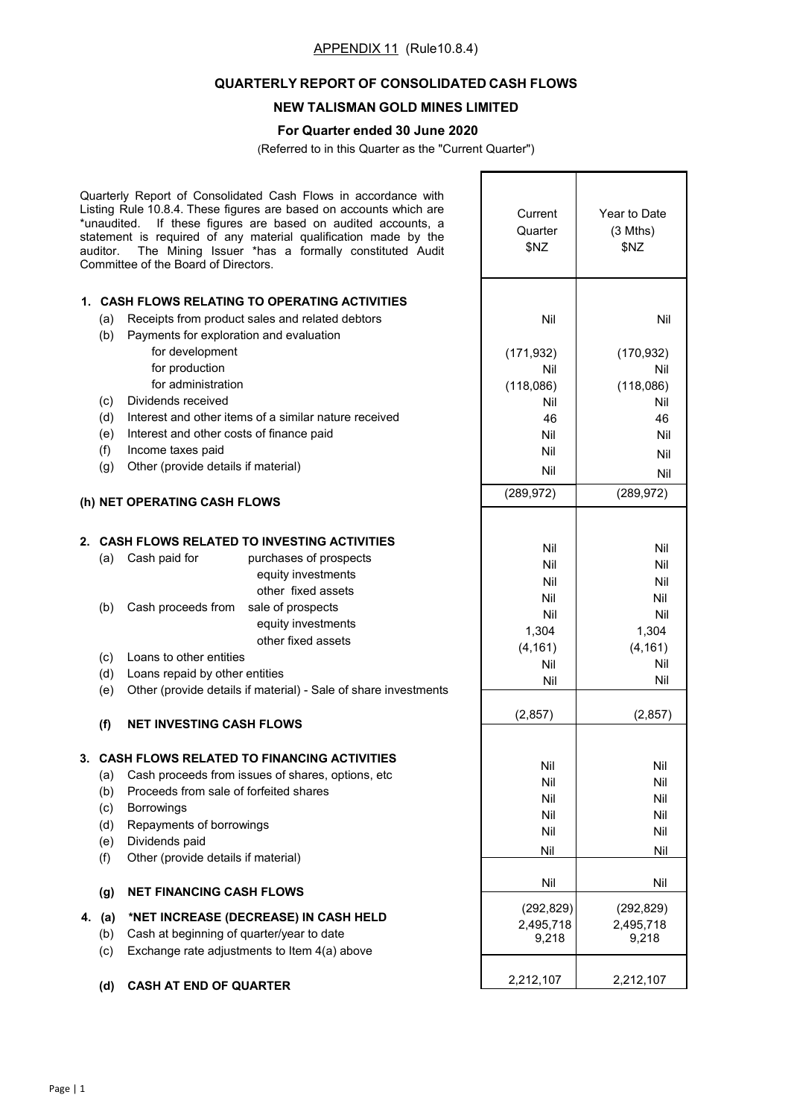# APPENDIX 11 (Rule10.8.4)

## **QUARTERLY REPORT OF CONSOLIDATED CASH FLOWS**

## **NEW TALISMAN GOLD MINES LIMITED**

## **For Quarter ended 30 June 2020**

(Referred to in this Quarter as the "Current Quarter")

| *unaudited.<br>auditor. | Quarterly Report of Consolidated Cash Flows in accordance with<br>Listing Rule 10.8.4. These figures are based on accounts which are<br>If these figures are based on audited accounts, a<br>statement is required of any material qualification made by the<br>The Mining Issuer *has a formally constituted Audit<br>Committee of the Board of Directors. | Current<br>Quarter<br>\$NZ | Year to Date<br>$(3$ Mths)<br>\$NZ |
|-------------------------|-------------------------------------------------------------------------------------------------------------------------------------------------------------------------------------------------------------------------------------------------------------------------------------------------------------------------------------------------------------|----------------------------|------------------------------------|
|                         | 1. CASH FLOWS RELATING TO OPERATING ACTIVITIES                                                                                                                                                                                                                                                                                                              |                            |                                    |
| (a)                     | Receipts from product sales and related debtors                                                                                                                                                                                                                                                                                                             | Nil                        | Nil                                |
| (b)                     | Payments for exploration and evaluation                                                                                                                                                                                                                                                                                                                     |                            |                                    |
|                         | for development                                                                                                                                                                                                                                                                                                                                             | (171, 932)                 | (170, 932)                         |
|                         | for production                                                                                                                                                                                                                                                                                                                                              | Nil                        | Nil                                |
|                         | for administration                                                                                                                                                                                                                                                                                                                                          | (118,086)                  | (118,086)                          |
| (c)                     | Dividends received                                                                                                                                                                                                                                                                                                                                          | Nil                        | Nil                                |
| (d)                     | Interest and other items of a similar nature received                                                                                                                                                                                                                                                                                                       | 46                         | 46                                 |
| (e)                     | Interest and other costs of finance paid                                                                                                                                                                                                                                                                                                                    | Nil                        | Nil                                |
| (f)                     | Income taxes paid                                                                                                                                                                                                                                                                                                                                           | Nil                        | Nil                                |
| (g)                     | Other (provide details if material)                                                                                                                                                                                                                                                                                                                         | Nil                        | Nil                                |
|                         |                                                                                                                                                                                                                                                                                                                                                             | (289, 972)                 | (289, 972)                         |
|                         | (h) NET OPERATING CASH FLOWS                                                                                                                                                                                                                                                                                                                                |                            |                                    |
|                         |                                                                                                                                                                                                                                                                                                                                                             |                            |                                    |
|                         | 2. CASH FLOWS RELATED TO INVESTING ACTIVITIES                                                                                                                                                                                                                                                                                                               | Nil                        | Nil                                |
| (a)                     | Cash paid for<br>purchases of prospects                                                                                                                                                                                                                                                                                                                     | Nil                        | Nil                                |
|                         | equity investments<br>other fixed assets                                                                                                                                                                                                                                                                                                                    | Nil                        | Nil                                |
|                         |                                                                                                                                                                                                                                                                                                                                                             | Nil                        | Nil                                |
| (b)                     | Cash proceeds from<br>sale of prospects                                                                                                                                                                                                                                                                                                                     | Nil                        | Nil                                |
|                         | equity investments<br>other fixed assets                                                                                                                                                                                                                                                                                                                    | 1,304                      | 1,304                              |
| (c)                     | Loans to other entities                                                                                                                                                                                                                                                                                                                                     | (4, 161)                   | (4, 161)                           |
| (d)                     | Loans repaid by other entities                                                                                                                                                                                                                                                                                                                              | Nil                        | Nil                                |
| (e)                     | Other (provide details if material) - Sale of share investments                                                                                                                                                                                                                                                                                             | Nil                        | Nil                                |
|                         |                                                                                                                                                                                                                                                                                                                                                             |                            |                                    |
| (f)                     | <b>NET INVESTING CASH FLOWS</b>                                                                                                                                                                                                                                                                                                                             | (2, 857)                   | (2, 857)                           |
|                         |                                                                                                                                                                                                                                                                                                                                                             |                            |                                    |
|                         | 3. CASH FLOWS RELATED TO FINANCING ACTIVITIES                                                                                                                                                                                                                                                                                                               | Nil                        | Nil                                |
| (a)                     | Cash proceeds from issues of shares, options, etc                                                                                                                                                                                                                                                                                                           | Nil                        | Nil                                |
| (b)                     | Proceeds from sale of forfeited shares                                                                                                                                                                                                                                                                                                                      | Nil                        | Nil                                |
| (c)                     | <b>Borrowings</b>                                                                                                                                                                                                                                                                                                                                           | Nil                        | Nil                                |
| (d)                     | Repayments of borrowings                                                                                                                                                                                                                                                                                                                                    | Nil                        | Nil                                |
| (e)                     | Dividends paid                                                                                                                                                                                                                                                                                                                                              | Nil                        | Nil                                |
| (f)                     | Other (provide details if material)                                                                                                                                                                                                                                                                                                                         |                            |                                    |
| (g)                     | <b>NET FINANCING CASH FLOWS</b>                                                                                                                                                                                                                                                                                                                             | Nil                        | Nil                                |
|                         |                                                                                                                                                                                                                                                                                                                                                             | (292, 829)                 | (292, 829)                         |
| 4. (a)                  | *NET INCREASE (DECREASE) IN CASH HELD                                                                                                                                                                                                                                                                                                                       | 2,495,718                  | 2,495,718                          |
| (b)                     | Cash at beginning of quarter/year to date                                                                                                                                                                                                                                                                                                                   | 9,218                      | 9,218                              |
| (c)                     | Exchange rate adjustments to Item 4(a) above                                                                                                                                                                                                                                                                                                                |                            |                                    |
| (d)                     | <b>CASH AT END OF QUARTER</b>                                                                                                                                                                                                                                                                                                                               | 2,212,107                  | 2,212,107                          |
|                         |                                                                                                                                                                                                                                                                                                                                                             |                            |                                    |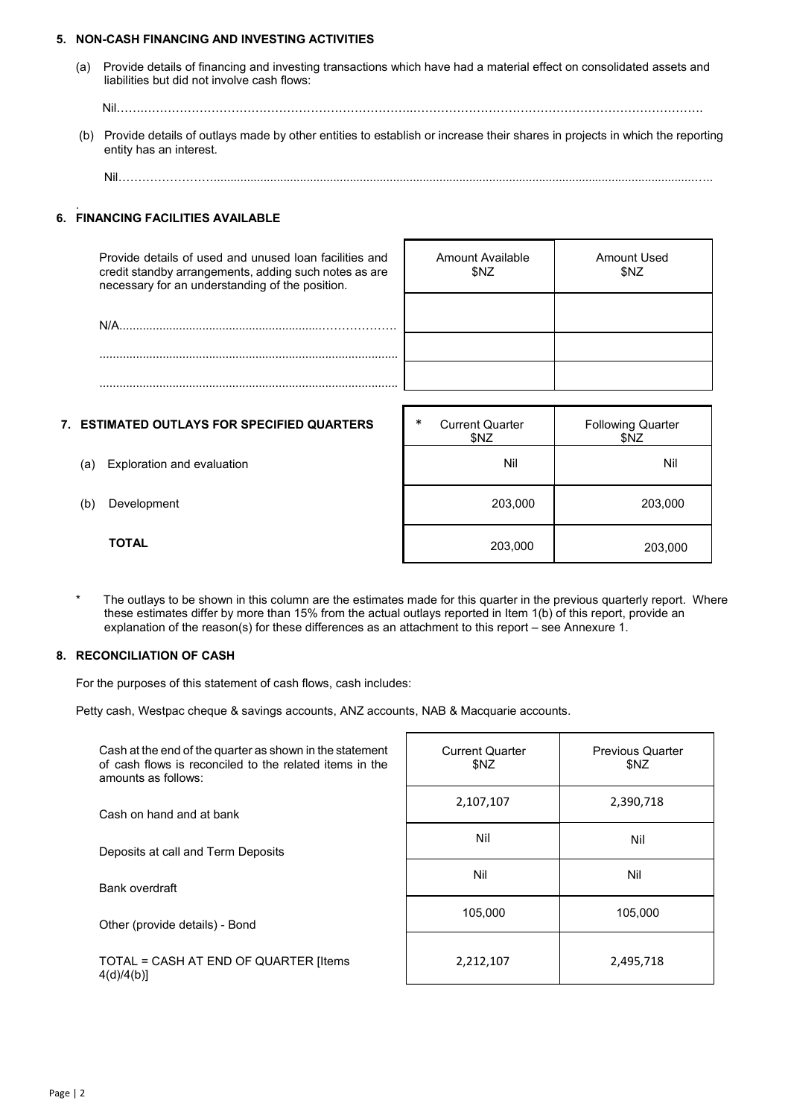### **5. NON-CASH FINANCING AND INVESTING ACTIVITIES**

(a) Provide details of financing and investing transactions which have had a material effect on consolidated assets and liabilities but did not involve cash flows:

Nil…….…………………………………………………………..……………………………………………………………….

- (b) Provide details of outlays made by other entities to establish or increase their shares in projects in which the reporting entity has an interest.
	- Nil……………………………………………………………

Amount Available \$NZ

#### . **6. FINANCING FACILITIES AVAILABLE**

Provide details of used and unused loan facilities and credit standby arrangements, adding such notes as are necessary for an understanding of the position.

N/A.............................................................………………. .......................................................................................... ..........................................................................................

#### **7. ESTIMATED OUTLAYS FOR SPECIFIED QUARTERS**

- (a) Exploration and evaluation
- (b) Development
	- **TOTAL**

| $\ast$ | <b>Current Quarter</b><br>\$NZ | <b>Following Quarter</b><br>\$NZ |
|--------|--------------------------------|----------------------------------|
|        | Nil                            | Nil                              |
|        | 203,000                        | 203,000                          |
|        | 203,000                        | 203,000                          |

Amount Used \$NZ

The outlays to be shown in this column are the estimates made for this quarter in the previous quarterly report. Where these estimates differ by more than 15% from the actual outlays reported in Item 1(b) of this report, provide an explanation of the reason(s) for these differences as an attachment to this report – see Annexure 1.

#### **8. RECONCILIATION OF CASH**

For the purposes of this statement of cash flows, cash includes:

Petty cash, Westpac cheque & savings accounts, ANZ accounts, NAB & Macquarie accounts.

| Cash at the end of the quarter as shown in the statement<br>of cash flows is reconciled to the related items in the<br>amounts as follows: | <b>Current Quarter</b><br>\$NZ | <b>Previous Quarter</b><br>\$NZ |
|--------------------------------------------------------------------------------------------------------------------------------------------|--------------------------------|---------------------------------|
| Cash on hand and at bank                                                                                                                   | 2,107,107                      | 2,390,718                       |
| Deposits at call and Term Deposits                                                                                                         | Nil                            | Nil                             |
| Bank overdraft                                                                                                                             | Nil                            | Nil                             |
| Other (provide details) - Bond                                                                                                             | 105.000                        | 105.000                         |
| TOTAL = CASH AT END OF QUARTER [Items<br>4(d)/4(b)                                                                                         | 2,212,107                      | 2,495,718                       |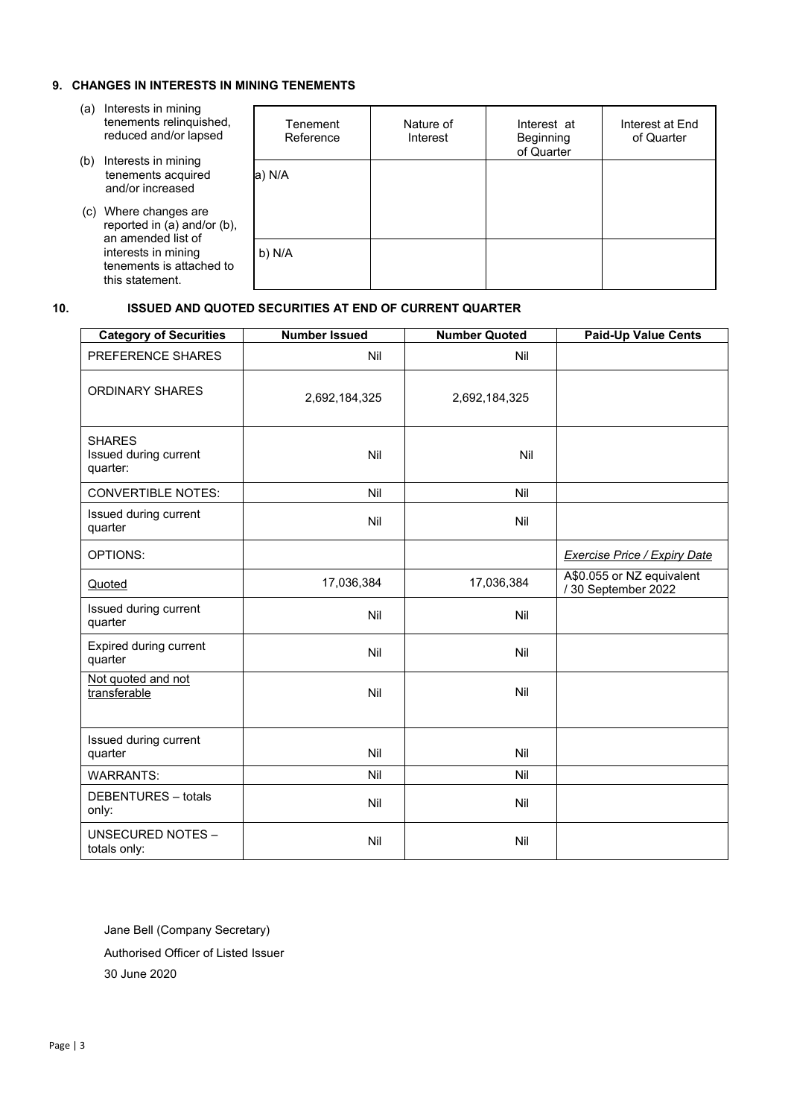### **9. CHANGES IN INTERESTS IN MINING TENEMENTS**

- (a) Interests in mining tenements relinquished, reduced and/or lapsed
- (b) Interests in mining tenements acquired and/or increased
- (c) Where changes are reported in (a) and/or (b), an amended list of interests in mining tenements is attached to this statement.

| Tenement<br>Reference | Nature of<br>Interest | Interest at<br>Beginning<br>of Quarter | Interest at End<br>of Quarter |
|-----------------------|-----------------------|----------------------------------------|-------------------------------|
| a) N/A                |                       |                                        |                               |
| b) N/A                |                       |                                        |                               |

## **10. ISSUED AND QUOTED SECURITIES AT END OF CURRENT QUARTER**

| <b>Category of Securities</b>                      | <b>Number Issued</b> | <b>Number Quoted</b> | <b>Paid-Up Value Cents</b>                      |
|----------------------------------------------------|----------------------|----------------------|-------------------------------------------------|
| PREFERENCE SHARES                                  | Nil                  | Nil                  |                                                 |
| <b>ORDINARY SHARES</b>                             | 2,692,184,325        | 2,692,184,325        |                                                 |
| <b>SHARES</b><br>Issued during current<br>quarter: | Nil                  | Nil                  |                                                 |
| <b>CONVERTIBLE NOTES:</b>                          | Nil                  | Nil                  |                                                 |
| Issued during current<br>quarter                   | Nil                  | Nil                  |                                                 |
| OPTIONS:                                           |                      |                      | Exercise Price / Expiry Date                    |
| Quoted                                             | 17,036,384           | 17,036,384           | A\$0.055 or NZ equivalent<br>/30 September 2022 |
| Issued during current<br>quarter                   | Nil                  | Nil                  |                                                 |
| Expired during current<br>quarter                  | Nil                  | Nil                  |                                                 |
| Not quoted and not<br>transferable                 | Nil                  | Nil                  |                                                 |
| Issued during current<br>quarter                   | Nil                  | Nil                  |                                                 |
| <b>WARRANTS:</b>                                   | Nil                  | Nil                  |                                                 |
| DEBENTURES - totals<br>only:                       | Nil                  | Nil                  |                                                 |
| <b>UNSECURED NOTES -</b><br>totals only:           | Nil                  | Nil                  |                                                 |

Jane Bell (Company Secretary)

Authorised Officer of Listed Issuer 30 June 2020